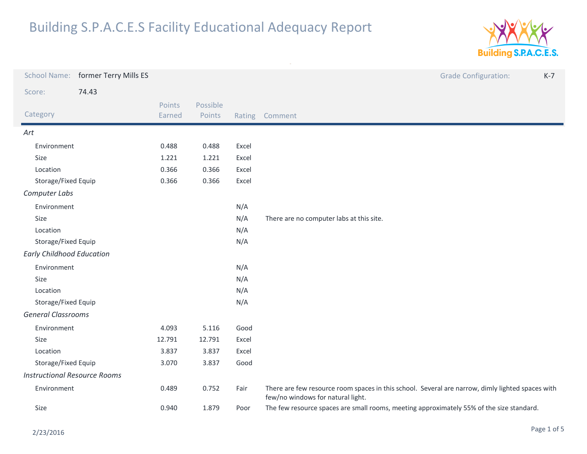

|                                     | School Name: former Terry Mills ES |                  |                    |       | <b>Grade Configuration:</b><br>$K-7$                                                                                                  |  |
|-------------------------------------|------------------------------------|------------------|--------------------|-------|---------------------------------------------------------------------------------------------------------------------------------------|--|
| Score:                              | 74.43                              |                  |                    |       |                                                                                                                                       |  |
| Category                            |                                    | Points<br>Earned | Possible<br>Points |       | Rating Comment                                                                                                                        |  |
| Art                                 |                                    |                  |                    |       |                                                                                                                                       |  |
| Environment                         |                                    | 0.488            | 0.488              | Excel |                                                                                                                                       |  |
| Size                                |                                    | 1.221            | 1.221              | Excel |                                                                                                                                       |  |
| Location                            |                                    | 0.366            | 0.366              | Excel |                                                                                                                                       |  |
| Storage/Fixed Equip                 |                                    | 0.366            | 0.366              | Excel |                                                                                                                                       |  |
| Computer Labs                       |                                    |                  |                    |       |                                                                                                                                       |  |
| Environment                         |                                    |                  |                    | N/A   |                                                                                                                                       |  |
| Size                                |                                    |                  |                    | N/A   | There are no computer labs at this site.                                                                                              |  |
| Location                            |                                    |                  |                    | N/A   |                                                                                                                                       |  |
| Storage/Fixed Equip                 |                                    |                  |                    | N/A   |                                                                                                                                       |  |
| <b>Early Childhood Education</b>    |                                    |                  |                    |       |                                                                                                                                       |  |
| Environment                         |                                    |                  |                    | N/A   |                                                                                                                                       |  |
| Size                                |                                    |                  |                    | N/A   |                                                                                                                                       |  |
| Location                            |                                    |                  |                    | N/A   |                                                                                                                                       |  |
| Storage/Fixed Equip                 |                                    |                  |                    | N/A   |                                                                                                                                       |  |
| <b>General Classrooms</b>           |                                    |                  |                    |       |                                                                                                                                       |  |
| Environment                         |                                    | 4.093            | 5.116              | Good  |                                                                                                                                       |  |
| Size                                |                                    | 12.791           | 12.791             | Excel |                                                                                                                                       |  |
| Location                            |                                    | 3.837            | 3.837              | Excel |                                                                                                                                       |  |
| Storage/Fixed Equip                 |                                    | 3.070            | 3.837              | Good  |                                                                                                                                       |  |
| <b>Instructional Resource Rooms</b> |                                    |                  |                    |       |                                                                                                                                       |  |
| Environment                         |                                    | 0.489            | 0.752              | Fair  | There are few resource room spaces in this school. Several are narrow, dimly lighted spaces with<br>few/no windows for natural light. |  |
| Size                                |                                    | 0.940            | 1.879              | Poor  | The few resource spaces are small rooms, meeting approximately 55% of the size standard.                                              |  |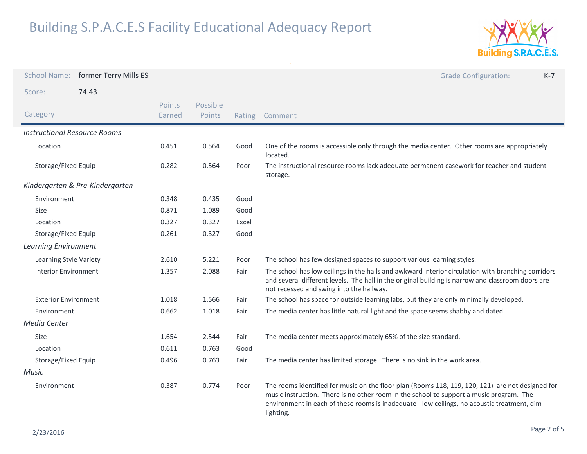

|                                     | School Name: former Terry Mills ES |                         |                    |        | <b>Grade Configuration:</b><br>$K-7$                                                                                                                                                                                                                                                                    |
|-------------------------------------|------------------------------------|-------------------------|--------------------|--------|---------------------------------------------------------------------------------------------------------------------------------------------------------------------------------------------------------------------------------------------------------------------------------------------------------|
| Score:                              | 74.43                              |                         |                    |        |                                                                                                                                                                                                                                                                                                         |
| Category                            |                                    | <b>Points</b><br>Earned | Possible<br>Points | Rating | Comment                                                                                                                                                                                                                                                                                                 |
| <b>Instructional Resource Rooms</b> |                                    |                         |                    |        |                                                                                                                                                                                                                                                                                                         |
| Location                            |                                    | 0.451                   | 0.564              | Good   | One of the rooms is accessible only through the media center. Other rooms are appropriately<br>located.                                                                                                                                                                                                 |
| Storage/Fixed Equip                 |                                    | 0.282                   | 0.564              | Poor   | The instructional resource rooms lack adequate permanent casework for teacher and student<br>storage.                                                                                                                                                                                                   |
|                                     | Kindergarten & Pre-Kindergarten    |                         |                    |        |                                                                                                                                                                                                                                                                                                         |
| Environment                         |                                    | 0.348                   | 0.435              | Good   |                                                                                                                                                                                                                                                                                                         |
| <b>Size</b>                         |                                    | 0.871                   | 1.089              | Good   |                                                                                                                                                                                                                                                                                                         |
| Location                            |                                    | 0.327                   | 0.327              | Excel  |                                                                                                                                                                                                                                                                                                         |
| Storage/Fixed Equip                 |                                    | 0.261                   | 0.327              | Good   |                                                                                                                                                                                                                                                                                                         |
| <b>Learning Environment</b>         |                                    |                         |                    |        |                                                                                                                                                                                                                                                                                                         |
| Learning Style Variety              |                                    | 2.610                   | 5.221              | Poor   | The school has few designed spaces to support various learning styles.                                                                                                                                                                                                                                  |
| <b>Interior Environment</b>         |                                    | 1.357                   | 2.088              | Fair   | The school has low ceilings in the halls and awkward interior circulation with branching corridors<br>and several different levels. The hall in the original building is narrow and classroom doors are<br>not recessed and swing into the hallway.                                                     |
| <b>Exterior Environment</b>         |                                    | 1.018                   | 1.566              | Fair   | The school has space for outside learning labs, but they are only minimally developed.                                                                                                                                                                                                                  |
| Environment                         |                                    | 0.662                   | 1.018              | Fair   | The media center has little natural light and the space seems shabby and dated.                                                                                                                                                                                                                         |
| Media Center                        |                                    |                         |                    |        |                                                                                                                                                                                                                                                                                                         |
| <b>Size</b>                         |                                    | 1.654                   | 2.544              | Fair   | The media center meets approximately 65% of the size standard.                                                                                                                                                                                                                                          |
| Location                            |                                    | 0.611                   | 0.763              | Good   |                                                                                                                                                                                                                                                                                                         |
| Storage/Fixed Equip                 |                                    | 0.496                   | 0.763              | Fair   | The media center has limited storage. There is no sink in the work area.                                                                                                                                                                                                                                |
| Music                               |                                    |                         |                    |        |                                                                                                                                                                                                                                                                                                         |
| Environment                         |                                    | 0.387                   | 0.774              | Poor   | The rooms identified for music on the floor plan (Rooms 118, 119, 120, 121) are not designed for<br>music instruction. There is no other room in the school to support a music program. The<br>environment in each of these rooms is inadequate - low ceilings, no acoustic treatment, dim<br>lighting. |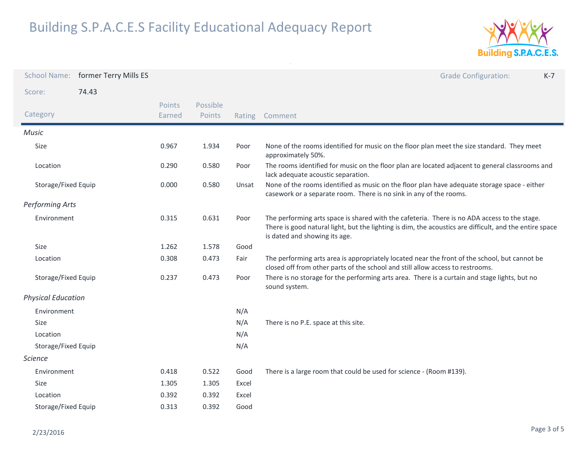

| <b>School Name:</b>       | former Terry Mills ES |                  |                    |       | <b>Grade Configuration:</b><br>$K-7$                                                                                                                                                                                                     |
|---------------------------|-----------------------|------------------|--------------------|-------|------------------------------------------------------------------------------------------------------------------------------------------------------------------------------------------------------------------------------------------|
| Score:                    | 74.43                 |                  |                    |       |                                                                                                                                                                                                                                          |
| Category                  |                       | Points<br>Earned | Possible<br>Points |       | Rating Comment                                                                                                                                                                                                                           |
| <b>Music</b>              |                       |                  |                    |       |                                                                                                                                                                                                                                          |
| Size                      |                       | 0.967            | 1.934              | Poor  | None of the rooms identified for music on the floor plan meet the size standard. They meet<br>approximately 50%.                                                                                                                         |
| Location                  |                       | 0.290            | 0.580              | Poor  | The rooms identified for music on the floor plan are located adjacent to general classrooms and<br>lack adequate acoustic separation.                                                                                                    |
| Storage/Fixed Equip       |                       | 0.000            | 0.580              | Unsat | None of the rooms identified as music on the floor plan have adequate storage space - either<br>casework or a separate room. There is no sink in any of the rooms.                                                                       |
| <b>Performing Arts</b>    |                       |                  |                    |       |                                                                                                                                                                                                                                          |
| Environment               |                       | 0.315            | 0.631              | Poor  | The performing arts space is shared with the cafeteria. There is no ADA access to the stage.<br>There is good natural light, but the lighting is dim, the acoustics are difficult, and the entire space<br>is dated and showing its age. |
| Size                      |                       | 1.262            | 1.578              | Good  |                                                                                                                                                                                                                                          |
| Location                  |                       | 0.308            | 0.473              | Fair  | The performing arts area is appropriately located near the front of the school, but cannot be<br>closed off from other parts of the school and still allow access to restrooms.                                                          |
| Storage/Fixed Equip       |                       | 0.237            | 0.473              | Poor  | There is no storage for the performing arts area. There is a curtain and stage lights, but no<br>sound system.                                                                                                                           |
| <b>Physical Education</b> |                       |                  |                    |       |                                                                                                                                                                                                                                          |
| Environment               |                       |                  |                    | N/A   |                                                                                                                                                                                                                                          |
| Size                      |                       |                  |                    | N/A   | There is no P.E. space at this site.                                                                                                                                                                                                     |
| Location                  |                       |                  |                    | N/A   |                                                                                                                                                                                                                                          |
| Storage/Fixed Equip       |                       |                  |                    | N/A   |                                                                                                                                                                                                                                          |
| <b>Science</b>            |                       |                  |                    |       |                                                                                                                                                                                                                                          |
| Environment               |                       | 0.418            | 0.522              | Good  | There is a large room that could be used for science - (Room #139).                                                                                                                                                                      |
| <b>Size</b>               |                       | 1.305            | 1.305              | Excel |                                                                                                                                                                                                                                          |
| Location                  |                       | 0.392            | 0.392              | Excel |                                                                                                                                                                                                                                          |
| Storage/Fixed Equip       |                       | 0.313            | 0.392              | Good  |                                                                                                                                                                                                                                          |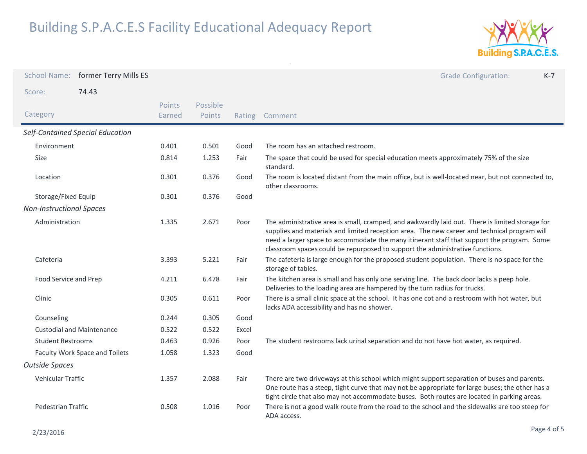

|                                  | School Name: former Terry Mills ES |                         |                    |       | <b>Grade Configuration:</b><br>$K-7$                                                                                                                                                                                                                                                                                                                                           |
|----------------------------------|------------------------------------|-------------------------|--------------------|-------|--------------------------------------------------------------------------------------------------------------------------------------------------------------------------------------------------------------------------------------------------------------------------------------------------------------------------------------------------------------------------------|
| Score:                           | 74.43                              |                         |                    |       |                                                                                                                                                                                                                                                                                                                                                                                |
| Category                         |                                    | <b>Points</b><br>Earned | Possible<br>Points |       | Rating Comment                                                                                                                                                                                                                                                                                                                                                                 |
| Self-Contained Special Education |                                    |                         |                    |       |                                                                                                                                                                                                                                                                                                                                                                                |
| Environment                      |                                    | 0.401                   | 0.501              | Good  | The room has an attached restroom.                                                                                                                                                                                                                                                                                                                                             |
| <b>Size</b>                      |                                    | 0.814                   | 1.253              | Fair  | The space that could be used for special education meets approximately 75% of the size<br>standard.                                                                                                                                                                                                                                                                            |
| Location                         |                                    | 0.301                   | 0.376              | Good  | The room is located distant from the main office, but is well-located near, but not connected to,<br>other classrooms.                                                                                                                                                                                                                                                         |
| Storage/Fixed Equip              |                                    | 0.301                   | 0.376              | Good  |                                                                                                                                                                                                                                                                                                                                                                                |
| <b>Non-Instructional Spaces</b>  |                                    |                         |                    |       |                                                                                                                                                                                                                                                                                                                                                                                |
| Administration                   |                                    | 1.335                   | 2.671              | Poor  | The administrative area is small, cramped, and awkwardly laid out. There is limited storage for<br>supplies and materials and limited reception area. The new career and technical program will<br>need a larger space to accommodate the many itinerant staff that support the program. Some<br>classroom spaces could be repurposed to support the administrative functions. |
| Cafeteria                        |                                    | 3.393                   | 5.221              | Fair  | The cafeteria is large enough for the proposed student population. There is no space for the<br>storage of tables.                                                                                                                                                                                                                                                             |
| Food Service and Prep            |                                    | 4.211                   | 6.478              | Fair  | The kitchen area is small and has only one serving line. The back door lacks a peep hole.<br>Deliveries to the loading area are hampered by the turn radius for trucks.                                                                                                                                                                                                        |
| Clinic                           |                                    | 0.305                   | 0.611              | Poor  | There is a small clinic space at the school. It has one cot and a restroom with hot water, but<br>lacks ADA accessibility and has no shower.                                                                                                                                                                                                                                   |
| Counseling                       |                                    | 0.244                   | 0.305              | Good  |                                                                                                                                                                                                                                                                                                                                                                                |
|                                  | <b>Custodial and Maintenance</b>   | 0.522                   | 0.522              | Excel |                                                                                                                                                                                                                                                                                                                                                                                |
| <b>Student Restrooms</b>         |                                    | 0.463                   | 0.926              | Poor  | The student restrooms lack urinal separation and do not have hot water, as required.                                                                                                                                                                                                                                                                                           |
| Faculty Work Space and Toilets   |                                    | 1.058                   | 1.323              | Good  |                                                                                                                                                                                                                                                                                                                                                                                |
| <b>Outside Spaces</b>            |                                    |                         |                    |       |                                                                                                                                                                                                                                                                                                                                                                                |
| Vehicular Traffic                |                                    | 1.357                   | 2.088              | Fair  | There are two driveways at this school which might support separation of buses and parents.<br>One route has a steep, tight curve that may not be appropriate for large buses; the other has a<br>tight circle that also may not accommodate buses. Both routes are located in parking areas.                                                                                  |
| Pedestrian Traffic               |                                    | 0.508                   | 1.016              | Poor  | There is not a good walk route from the road to the school and the sidewalks are too steep for<br>ADA access.                                                                                                                                                                                                                                                                  |